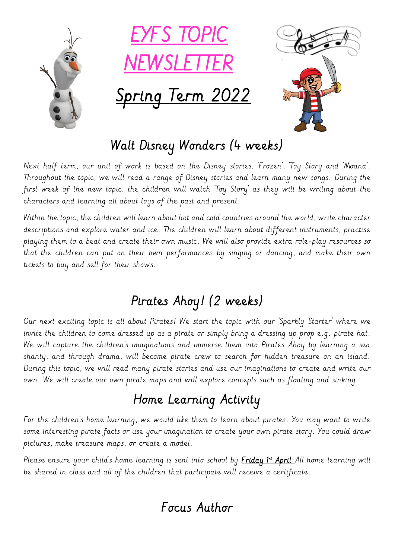

## Walt Disney Wonders (4 weeks)

Next half term, our unit of work is based on the Disney stories, 'Frozen', 'Toy Story and 'Moana'. Throughout the topic, we will read a range of Disney stories and learn many new songs. During the first week of the new topic, the children will watch 'Toy Story' as they will be writing about the characters and learning all about toys of the past and present.

Within the topic, the children will learn about hot and cold countries around the world, write character descriptions and explore water and ice. The children will learn about different instruments, practise playing them to a beat and create their own music. We will also provide extra role-play resources so that the children can put on their own performances by singing or dancing, and make their own tickets to buy and sell for their shows.

## Pirates Ahoy! (2 weeks)

Our next exciting topic is all about Pirates! We start the topic with our 'Sparkly Starter' where we invite the children to come dressed up as a pirate or simply bring a dressing up prop e.g. pirate hat. We will capture the children's imaginations and immerse them into Pirates Ahoy by learning a sea shanty, and through drama, will become pirate crew to search for hidden treasure on an island. During this topic, we will read many pirate stories and use our imaginations to create and write our own. We will create our own pirate maps and will explore concepts such as floating and sinking.

# Home Learning Activity

For the children's home learning, we would like them to learn about pirates. You may want to write some interesting pirate facts or use your imagination to create your own pirate story. You could draw pictures, make treasure maps, or create a model.

Please ensure your child's home learning is sent into school by <u>F**riday 1st April**. A</u>ll home learning will be shared in class and all of the children that participate will receive a certificate.

## Focus Author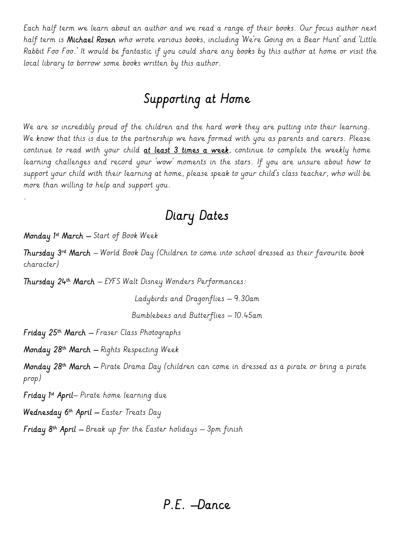Each half term we learn about an author and we read a range of their books. Our focus author next half term is Michael Rosen who wrote various books, including 'We're Going on a Bear Hunt' and 'Little Rabbit Foo Foo.' It would be fantastic if you could share any books by this author at home or visit the local library to borrow some books written by this author.

### Supporting at Home

We are so incredibly proud of the children and the hard work they are putting into their learning. We know that this is due to the partnership we have formed with you as parents and carers. Please continue to read with your child at least 3 times a week, continue to complete the weekly home learning challenges and record your 'wow' moments in the stars. If you are unsure about how to support your child with their learning at home, please speak to your child's class teacher, who will be more than willing to help and support you.

#### Diary Dates

Monday 1st March – Start of Book Week

.

Thursday 3 rd March – World Book Day (Children to come into school dressed as their favourite book character)

Thursday 24th March – EYFS Walt Disney Wonders Performances:

Ladybirds and Dragonflies – 9.30am

Bumblebees and Butterflies – 10.45am

Friday 25th March – Fraser Class Photographs

Monday 28th March – Rights Respecting Week

Monday 28th March – Pirate Drama Day (children can come in dressed as a pirate or bring a pirate prop)

**Friday 1st April—** Pirate home learning due

Wednesday 6th April – Easter Treats Day .

**Friday 8th April –** Break up for the Easter holidays – 3pm finish

#### P.E. –Dance